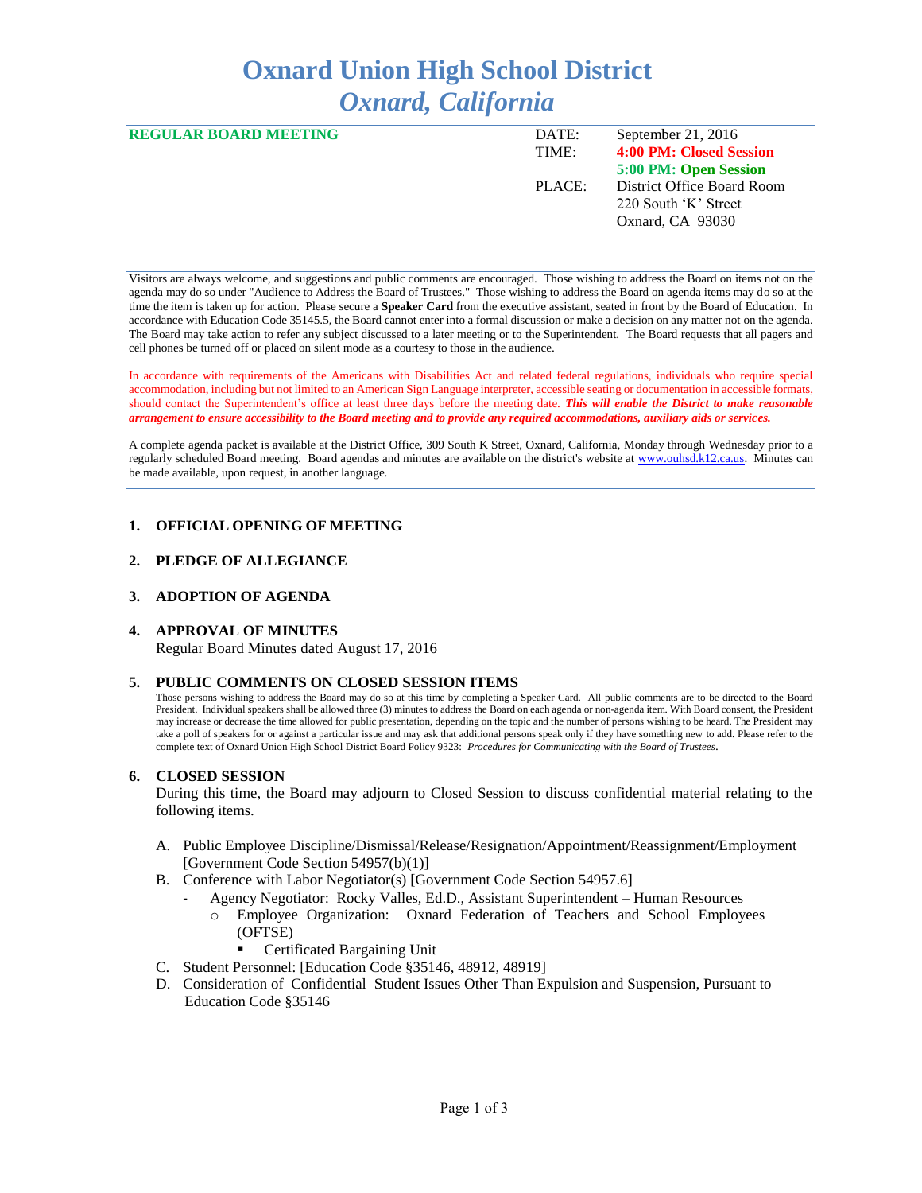# **Oxnard Union High School District** *Oxnard, California*

| <b>REGULAR BOARD MEETING</b> | DATE:<br>TIME: | September 21, 2016<br>4:00 PM: Closed Session                          |
|------------------------------|----------------|------------------------------------------------------------------------|
|                              |                | 5:00 PM: Open Session                                                  |
|                              | PLACE:         | District Office Board Room<br>220 South 'K' Street<br>Oxnard, CA 93030 |

Visitors are always welcome, and suggestions and public comments are encouraged. Those wishing to address the Board on items not on the agenda may do so under "Audience to Address the Board of Trustees." Those wishing to address the Board on agenda items may do so at the time the item is taken up for action. Please secure a **Speaker Card** from the executive assistant, seated in front by the Board of Education. In accordance with Education Code 35145.5, the Board cannot enter into a formal discussion or make a decision on any matter not on the agenda. The Board may take action to refer any subject discussed to a later meeting or to the Superintendent. The Board requests that all pagers and cell phones be turned off or placed on silent mode as a courtesy to those in the audience.

In accordance with requirements of the Americans with Disabilities Act and related federal regulations, individuals who require special accommodation, including but not limited to an American Sign Language interpreter, accessible seating or documentation in accessible formats, should contact the Superintendent's office at least three days before the meeting date. *This will enable the District to make reasonable arrangement to ensure accessibility to the Board meeting and to provide any required accommodations, auxiliary aids or services.* 

A complete agenda packet is available at the District Office, 309 South K Street, Oxnard, California, Monday through Wednesday prior to a regularly scheduled Board meeting. Board agendas and minutes are available on the district's website a[t www.ouhsd.k12.ca.us.](http://www.ouhsd.k12.ca.us/)Minutes can be made available, upon request, in another language.

## **1. OFFICIAL OPENING OF MEETING**

#### **2. PLEDGE OF ALLEGIANCE**

#### **3. ADOPTION OF AGENDA**

#### **4. APPROVAL OF MINUTES**

Regular Board Minutes dated August 17, 2016

#### **5. PUBLIC COMMENTS ON CLOSED SESSION ITEMS**

Those persons wishing to address the Board may do so at this time by completing a Speaker Card. All public comments are to be directed to the Board President. Individual speakers shall be allowed three (3) minutes to address the Board on each agenda or non-agenda item. With Board consent, the President may increase or decrease the time allowed for public presentation, depending on the topic and the number of persons wishing to be heard. The President may take a poll of speakers for or against a particular issue and may ask that additional persons speak only if they have something new to add. Please refer to the complete text of Oxnard Union High School District Board Policy 9323: *Procedures for Communicating with the Board of Trustees*.

#### **6. CLOSED SESSION**

During this time, the Board may adjourn to Closed Session to discuss confidential material relating to the following items.

- A. Public Employee Discipline/Dismissal/Release/Resignation/Appointment/Reassignment/Employment [Government Code Section 54957(b)(1)]
- B. Conference with Labor Negotiator(s) [Government Code Section 54957.6]
	- Agency Negotiator: Rocky Valles, Ed.D., Assistant Superintendent Human Resources
		- o Employee Organization: Oxnard Federation of Teachers and School Employees (OFTSE)
			- Certificated Bargaining Unit
- C. Student Personnel: [Education Code §35146, 48912, 48919]
- D. Consideration of Confidential Student Issues Other Than Expulsion and Suspension, Pursuant to Education Code §35146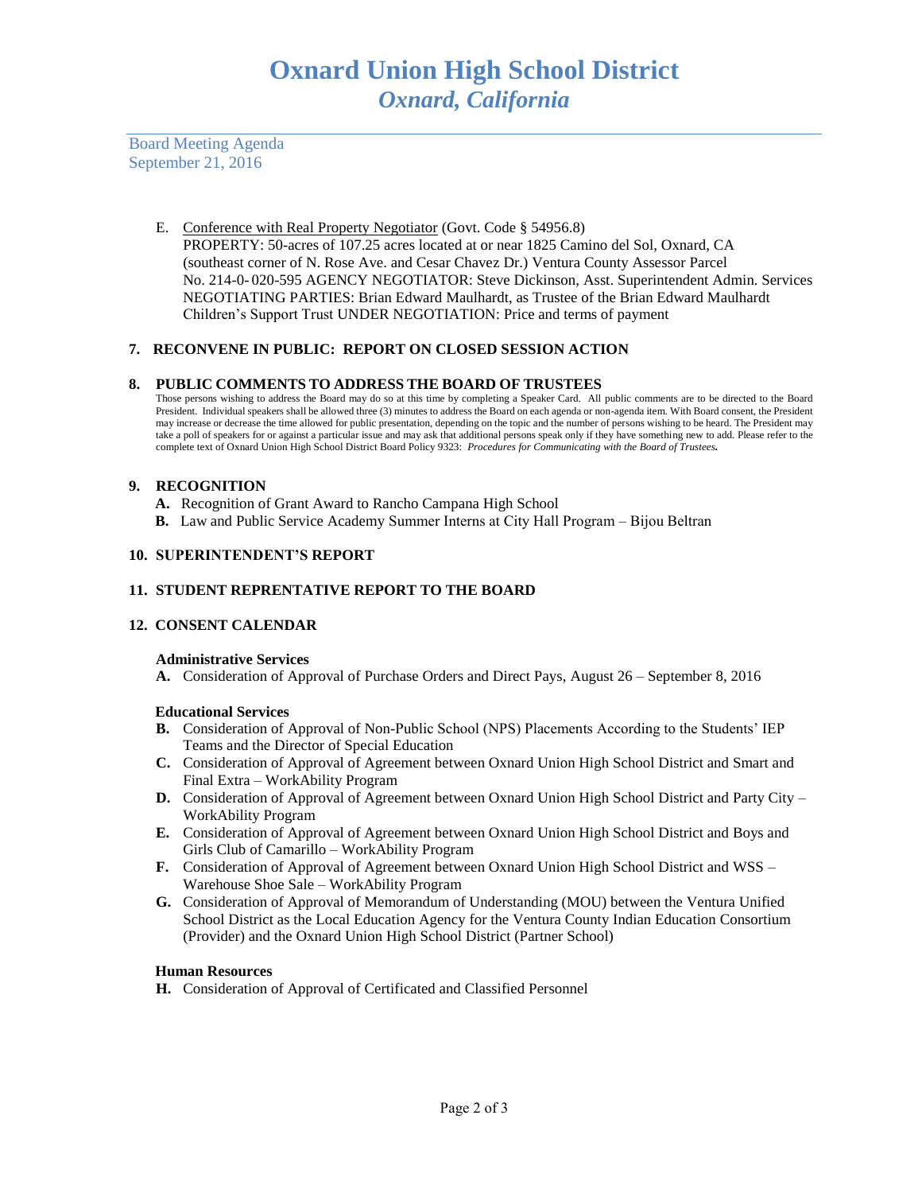Board Meeting Agenda September 21, 2016

> E. Conference with Real Property Negotiator (Govt. Code § 54956.8) PROPERTY: 50-acres of 107.25 acres located at or near 1825 Camino del Sol, Oxnard, CA (southeast corner of N. Rose Ave. and Cesar Chavez Dr.) Ventura County Assessor Parcel No. 214-0- 020-595 AGENCY NEGOTIATOR: Steve Dickinson, Asst. Superintendent Admin. Services NEGOTIATING PARTIES: Brian Edward Maulhardt, as Trustee of the Brian Edward Maulhardt Children's Support Trust UNDER NEGOTIATION: Price and terms of payment

## **7. RECONVENE IN PUBLIC: REPORT ON CLOSED SESSION ACTION**

## **8. PUBLIC COMMENTS TO ADDRESS THE BOARD OF TRUSTEES**

Those persons wishing to address the Board may do so at this time by completing a Speaker Card. All public comments are to be directed to the Board President. Individual speakers shall be allowed three (3) minutes to address the Board on each agenda or non-agenda item. With Board consent, the President may increase or decrease the time allowed for public presentation, depending on the topic and the number of persons wishing to be heard. The President may take a poll of speakers for or against a particular issue and may ask that additional persons speak only if they have something new to add. Please refer to the complete text of Oxnard Union High School District Board Policy 9323: *Procedures for Communicating with the Board of Trustees.*

## **9. RECOGNITION**

- **A.** Recognition of Grant Award to Rancho Campana High School
- **B.** Law and Public Service Academy Summer Interns at City Hall Program Bijou Beltran

## **10. SUPERINTENDENT'S REPORT**

## **11. STUDENT REPRENTATIVE REPORT TO THE BOARD**

## **12. CONSENT CALENDAR**

## **Administrative Services**

**A.** Consideration of Approval of Purchase Orders and Direct Pays, August 26 – September 8, 2016

## **Educational Services**

- **B.** Consideration of Approval of Non-Public School (NPS) Placements According to the Students' IEP Teams and the Director of Special Education
- **C.** Consideration of Approval of Agreement between Oxnard Union High School District and Smart and Final Extra – WorkAbility Program
- **D.** Consideration of Approval of Agreement between Oxnard Union High School District and Party City WorkAbility Program
- **E.** Consideration of Approval of Agreement between Oxnard Union High School District and Boys and Girls Club of Camarillo – WorkAbility Program
- **F.** Consideration of Approval of Agreement between Oxnard Union High School District and WSS Warehouse Shoe Sale – WorkAbility Program
- **G.** Consideration of Approval of Memorandum of Understanding (MOU) between the Ventura Unified School District as the Local Education Agency for the Ventura County Indian Education Consortium (Provider) and the Oxnard Union High School District (Partner School)

#### **Human Resources**

**H.** Consideration of Approval of Certificated and Classified Personnel